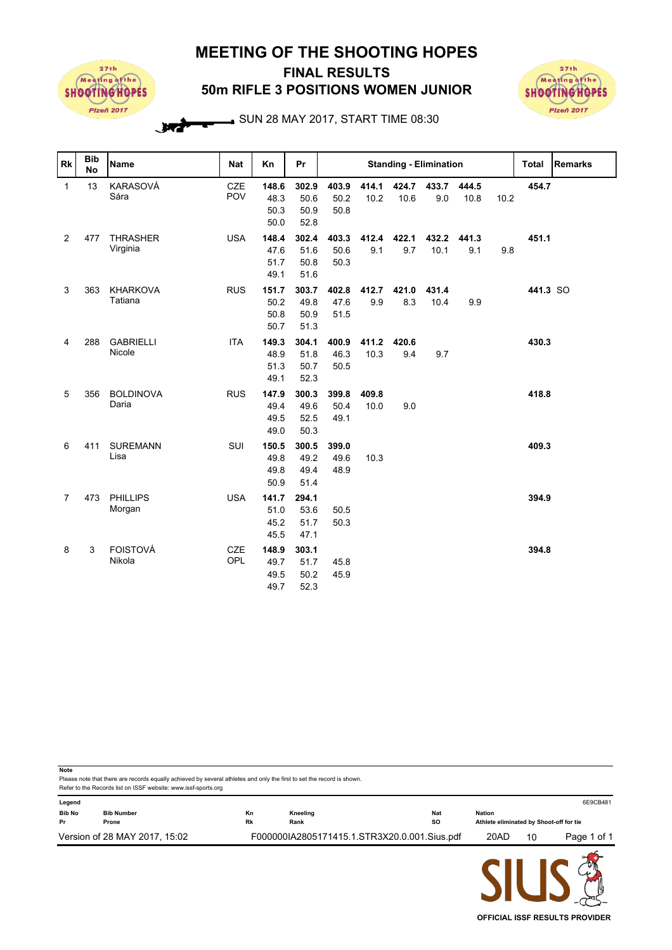## **MEETING OF THE SHOOTING HOPES**



## **50m RIFLE 3 POSITIONS WOMEN JUNIOR FINAL RESULTS**



SUN 28 MAY 2017, START TIME 08:30

| Rk             | <b>Bib</b><br><b>No</b> | <b>Name</b>                 | <b>Nat</b>        | Kn                            | Pr                            | <b>Standing - Elimination</b> |               |               |               |               |      | <b>Total</b> | <b>Remarks</b> |
|----------------|-------------------------|-----------------------------|-------------------|-------------------------------|-------------------------------|-------------------------------|---------------|---------------|---------------|---------------|------|--------------|----------------|
| $\mathbf{1}$   | 13                      | KARASOVÁ<br>Sára            | <b>CZE</b><br>POV | 148.6<br>48.3<br>50.3<br>50.0 | 302.9<br>50.6<br>50.9<br>52.8 | 403.9<br>50.2<br>50.8         | 414.1<br>10.2 | 424.7<br>10.6 | 433.7<br>9.0  | 444.5<br>10.8 | 10.2 | 454.7        |                |
| 2              | 477                     | <b>THRASHER</b><br>Virginia | <b>USA</b>        | 148.4<br>47.6<br>51.7<br>49.1 | 302.4<br>51.6<br>50.8<br>51.6 | 403.3<br>50.6<br>50.3         | 412.4<br>9.1  | 422.1<br>9.7  | 432.2<br>10.1 | 441.3<br>9.1  | 9.8  | 451.1        |                |
| 3              | 363                     | <b>KHARKOVA</b><br>Tatiana  | <b>RUS</b>        | 151.7<br>50.2<br>50.8<br>50.7 | 303.7<br>49.8<br>50.9<br>51.3 | 402.8<br>47.6<br>51.5         | 412.7<br>9.9  | 421.0<br>8.3  | 431.4<br>10.4 | 9.9           |      | 441.3 SO     |                |
| 4              | 288                     | <b>GABRIELLI</b><br>Nicole  | <b>ITA</b>        | 149.3<br>48.9<br>51.3<br>49.1 | 304.1<br>51.8<br>50.7<br>52.3 | 400.9<br>46.3<br>50.5         | 411.2<br>10.3 | 420.6<br>9.4  | 9.7           |               |      | 430.3        |                |
| 5              | 356                     | <b>BOLDINOVA</b><br>Daria   | <b>RUS</b>        | 147.9<br>49.4<br>49.5<br>49.0 | 300.3<br>49.6<br>52.5<br>50.3 | 399.8<br>50.4<br>49.1         | 409.8<br>10.0 | 9.0           |               |               |      | 418.8        |                |
| 6              | 411                     | <b>SUREMANN</b><br>Lisa     | SUI               | 150.5<br>49.8<br>49.8<br>50.9 | 300.5<br>49.2<br>49.4<br>51.4 | 399.0<br>49.6<br>48.9         | 10.3          |               |               |               |      | 409.3        |                |
| $\overline{7}$ | 473                     | <b>PHILLIPS</b><br>Morgan   | <b>USA</b>        | 141.7<br>51.0<br>45.2<br>45.5 | 294.1<br>53.6<br>51.7<br>47.1 | 50.5<br>50.3                  |               |               |               |               |      | 394.9        |                |
| 8              | 3                       | <b>FOISTOVÁ</b><br>Nikola   | <b>CZE</b><br>OPL | 148.9<br>49.7<br>49.5<br>49.7 | 303.1<br>51.7<br>50.2<br>52.3 | 45.8<br>45.9                  |               |               |               |               |      | 394.8        |                |

Please note that there are records equally achieved by several athletes and only the first to set the record is shown **Note** Refer to the Records list on ISSF website: www.issf-sports.org **Legend** 6E9CB481 **Bib No Bib Number Kn Kneeling Nat Nation Pr Prone Rk Rank SO Athlete eliminated by Shoot-off for tie** Version of 28 MAY 2017, 15:02 F000000IA2805171415.1.STR3X20.0.001.Sius.pdf 20AD 10 Page 1 of 1

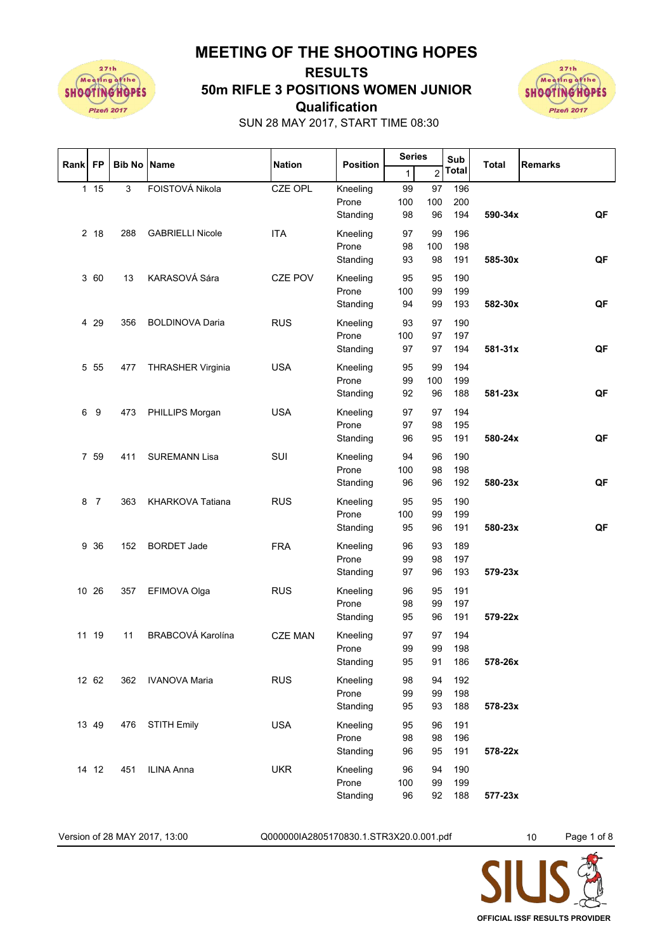**MEETING OF THE SHOOTING HOPES**



## **Qualification 50m RIFLE 3 POSITIONS WOMEN JUNIOR RESULTS**



SUN 28 MAY 2017, START TIME 08:30

| Rank FP |                | <b>Bib No Name</b> |                          | <b>Nation</b>  | <b>Position</b>   | <b>Series</b> |                | Sub          | Total   | <b>Remarks</b> |
|---------|----------------|--------------------|--------------------------|----------------|-------------------|---------------|----------------|--------------|---------|----------------|
|         |                |                    |                          |                |                   | 1             | $\overline{2}$ | <b>Total</b> |         |                |
|         | 115            | $\mathbf{3}$       | FOISTOVÁ Nikola          | <b>CZE OPL</b> | Kneeling          | 99            | 97             | 196          |         |                |
|         |                |                    |                          |                | Prone             | 100           | 100            | 200          |         |                |
|         |                |                    |                          |                | Standing          | 98            | 96             | 194          | 590-34x | QF             |
|         | 2 18           | 288                | <b>GABRIELLI Nicole</b>  | <b>ITA</b>     | Kneeling          | 97            | 99             | 196          |         |                |
|         |                |                    |                          |                | Prone             | 98            | 100            | 198          |         |                |
|         |                |                    |                          |                | Standing          | 93            | 98             | 191          | 585-30x | QF             |
|         | 3 60           | 13                 | KARASOVÁ Sára            | <b>CZE POV</b> | Kneeling          | 95            | 95             | 190          |         |                |
|         |                |                    |                          |                | Prone             | 100           | 99             | 199          |         |                |
|         |                |                    |                          |                | Standing          | 94            | 99             | 193          | 582-30x | QF             |
|         | 4 29           | 356                | <b>BOLDINOVA Daria</b>   | <b>RUS</b>     | Kneeling          | 93            | 97             | 190          |         |                |
|         |                |                    |                          |                | Prone             | 100           | 97             | 197          |         |                |
|         |                |                    |                          |                | Standing          | 97            | 97             | 194          | 581-31x | QF             |
|         | 5 5 5          | 477                | <b>THRASHER Virginia</b> | <b>USA</b>     | Kneeling          | 95            | 99             | 194          |         |                |
|         |                |                    |                          |                | Prone             | 99            | 100            | 199          |         |                |
|         |                |                    |                          |                | Standing          | 92            | 96             | 188          | 581-23x | QF             |
| 6       | 9              | 473                | PHILLIPS Morgan          | <b>USA</b>     | Kneeling          | 97            | 97             | 194          |         |                |
|         |                |                    |                          |                | Prone             | 97            | 98             | 195          |         |                |
|         |                |                    |                          |                | Standing          | 96            | 95             | 191          | 580-24x | QF             |
|         | 7 59           | 411                | <b>SUREMANN Lisa</b>     | SUI            | Kneeling          | 94            | 96             | 190          |         |                |
|         |                |                    |                          |                | Prone             | 100           | 98             | 198          |         |                |
|         |                |                    |                          |                | Standing          | 96            | 96             | 192          | 580-23x | QF             |
|         |                |                    |                          |                |                   |               |                |              |         |                |
| 8       | $\overline{7}$ | 363                | KHARKOVA Tatiana         | <b>RUS</b>     | Kneeling<br>Prone | 95<br>100     | 95<br>99       | 190<br>199   |         |                |
|         |                |                    |                          |                | Standing          | 95            | 96             | 191          | 580-23x | QF             |
|         |                |                    |                          |                |                   |               |                |              |         |                |
|         | 9 36           | 152                | <b>BORDET Jade</b>       | <b>FRA</b>     | Kneeling          | 96            | 93             | 189          |         |                |
|         |                |                    |                          |                | Prone<br>Standing | 99<br>97      | 98<br>96       | 197<br>193   | 579-23x |                |
|         |                |                    |                          |                |                   |               |                |              |         |                |
|         | 10 26          | 357                | EFIMOVA Olga             | <b>RUS</b>     | Kneeling          | 96            | 95             | 191          |         |                |
|         |                |                    |                          |                | Prone             | 98            | 99             | 197          |         |                |
|         |                |                    |                          |                | Standing          | 95            | 96             | 191          | 579-22x |                |
|         | 11 19          | 11                 | BRABCOVÁ Karolína        | <b>CZE MAN</b> | Kneeling          | 97            | 97             | 194          |         |                |
|         |                |                    |                          |                | Prone             | 99            | 99             | 198          |         |                |
|         |                |                    |                          |                | Standing          | 95            | 91             | 186          | 578-26x |                |
|         | 12 62          | 362                | <b>IVANOVA Maria</b>     | <b>RUS</b>     | Kneeling          | 98            | 94             | 192          |         |                |
|         |                |                    |                          |                | Prone             | 99            | 99             | 198          |         |                |
|         |                |                    |                          |                | Standing          | 95            | 93             | 188          | 578-23x |                |
|         | 13 49          | 476                | <b>STITH Emily</b>       | <b>USA</b>     | Kneeling          | 95            | 96             | 191          |         |                |
|         |                |                    |                          |                | Prone             | 98            | 98             | 196          |         |                |
|         |                |                    |                          |                | Standing          | 96            | 95             | 191          | 578-22x |                |
|         | 14 12          | 451                | ILINA Anna               | <b>UKR</b>     | Kneeling          | 96            | 94             | 190          |         |                |
|         |                |                    |                          |                | Prone             | 100           | 99             | 199          |         |                |
|         |                |                    |                          |                | Standing          | 96            | 92             | 188          | 577-23x |                |

Version of 28 MAY 2017, 13:00  $Q0000001A2805170830.1.STR3X20.0.001.pdf$   $10$  Page 1 of 8

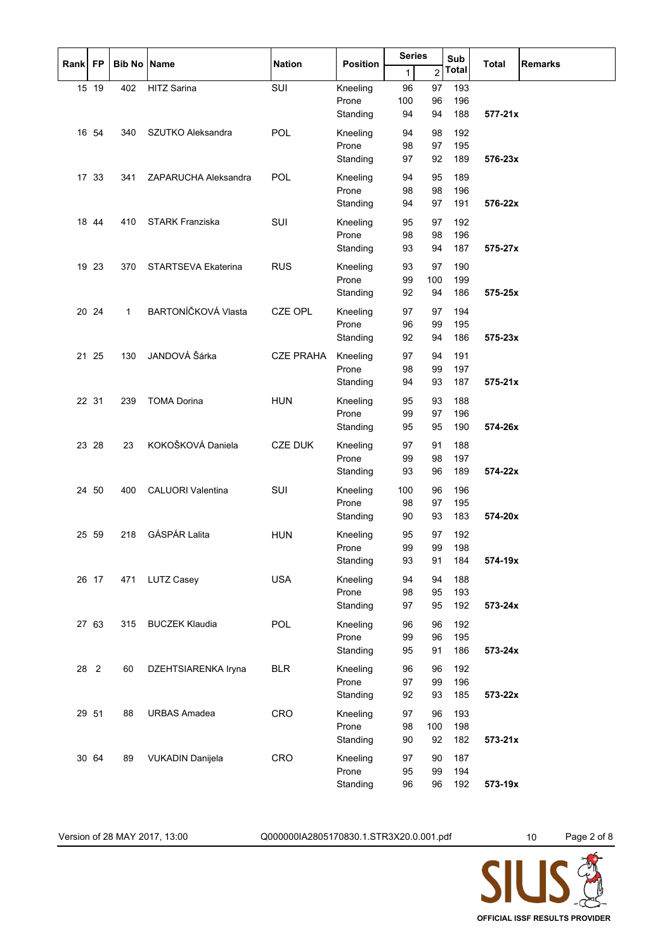| <b>FP</b><br><b>Rank</b> |       | <b>Bib No Name</b> |                         | <b>Nation</b>    | <b>Position</b>   | <b>Series</b> |                | Sub        | <b>Total</b> | <b>Remarks</b> |
|--------------------------|-------|--------------------|-------------------------|------------------|-------------------|---------------|----------------|------------|--------------|----------------|
|                          |       |                    |                         |                  |                   | 1             | $\overline{2}$ | Total      |              |                |
|                          | 15 19 | 402                | <b>HITZ Sarina</b>      | SUI              | Kneeling          | 96            | 97             | 193        |              |                |
|                          |       |                    |                         |                  | Prone<br>Standing | 100<br>94     | 96<br>94       | 196<br>188 | $577 - 21x$  |                |
|                          |       |                    |                         |                  |                   |               |                |            |              |                |
|                          | 16 54 | 340                | SZUTKO Aleksandra       | POL              | Kneeling          | 94            | 98             | 192        |              |                |
|                          |       |                    |                         |                  | Prone<br>Standing | 98<br>97      | 97<br>92       | 195<br>189 | 576-23x      |                |
|                          |       |                    |                         |                  |                   |               |                |            |              |                |
|                          | 17 33 | 341                | ZAPARUCHA Aleksandra    | POL              | Kneeling<br>Prone | 94<br>98      | 95<br>98       | 189<br>196 |              |                |
|                          |       |                    |                         |                  | Standing          | 94            | 97             | 191        | 576-22x      |                |
|                          | 18 44 | 410                | STARK Franziska         | SUI              | Kneeling          | 95            | 97             | 192        |              |                |
|                          |       |                    |                         |                  | Prone             | 98            | 98             | 196        |              |                |
|                          |       |                    |                         |                  | Standing          | 93            | 94             | 187        | 575-27x      |                |
|                          | 19 23 | 370                | STARTSEVA Ekaterina     | <b>RUS</b>       | Kneeling          | 93            | 97             | 190        |              |                |
|                          |       |                    |                         |                  | Prone             | 99            | 100            | 199        |              |                |
|                          |       |                    |                         |                  | Standing          | 92            | 94             | 186        | 575-25x      |                |
|                          | 20 24 | $\mathbf{1}$       | BARTONÍČKOVÁ Vlasta     | <b>CZE OPL</b>   | Kneeling          | 97            | 97             | 194        |              |                |
|                          |       |                    |                         |                  | Prone             | 96            | 99             | 195        |              |                |
|                          |       |                    |                         |                  | Standing          | 92            | 94             | 186        | 575-23x      |                |
|                          | 21 25 | 130                | JANDOVÁ Šárka           | <b>CZE PRAHA</b> | Kneeling          | 97            | 94             | 191        |              |                |
|                          |       |                    |                         |                  | Prone             | 98            | 99             | 197        |              |                |
|                          |       |                    |                         |                  | Standing          | 94            | 93             | 187        | $575 - 21x$  |                |
|                          | 22 31 | 239                | <b>TOMA Dorina</b>      | <b>HUN</b>       | Kneeling          | 95            | 93             | 188        |              |                |
|                          |       |                    |                         |                  | Prone             | 99            | 97             | 196        |              |                |
|                          |       |                    |                         |                  | Standing          | 95            | 95             | 190        | 574-26x      |                |
|                          | 23 28 | 23                 | KOKOŠKOVÁ Daniela       | <b>CZE DUK</b>   | Kneeling          | 97            | 91             | 188        |              |                |
|                          |       |                    |                         |                  | Prone             | 99            | 98             | 197        |              |                |
|                          |       |                    |                         |                  | Standing          | 93            | 96             | 189        | 574-22x      |                |
|                          | 24 50 | 400                | CALUORI Valentina       | SUI              | Kneeling          | 100           | 96             | 196        |              |                |
|                          |       |                    |                         |                  | Prone             | 98            | 97             | 195        |              |                |
|                          |       |                    |                         |                  | Standing          | 90            | 93             | 183        | 574-20x      |                |
|                          | 25 59 | 218                | <b>GÁSPÁR Lalita</b>    | <b>HUN</b>       | Kneeling          | 95            | 97             | 192        |              |                |
|                          |       |                    |                         |                  | Prone<br>Standing | 99<br>93      | 99<br>91       | 198<br>184 | 574-19x      |                |
|                          |       |                    |                         |                  |                   |               |                |            |              |                |
|                          | 26 17 | 471                | LUTZ Casey              | <b>USA</b>       | Kneeling<br>Prone | 94<br>98      | 94<br>95       | 188<br>193 |              |                |
|                          |       |                    |                         |                  | Standing          | 97            | 95             | 192        | 573-24x      |                |
|                          | 27 63 | 315                | <b>BUCZEK Klaudia</b>   | POL              | Kneeling          | 96            | 96             | 192        |              |                |
|                          |       |                    |                         |                  | Prone             | 99            | 96             | 195        |              |                |
|                          |       |                    |                         |                  | Standing          | 95            | 91             | 186        | 573-24x      |                |
|                          | 28 2  | 60                 | DZEHTSIARENKA Iryna     | <b>BLR</b>       | Kneeling          | 96            | 96             | 192        |              |                |
|                          |       |                    |                         |                  | Prone             | 97            | 99             | 196        |              |                |
|                          |       |                    |                         |                  | Standing          | 92            | 93             | 185        | 573-22x      |                |
|                          | 29 51 | 88                 | <b>URBAS Amadea</b>     | CRO              | Kneeling          | 97            | 96             | 193        |              |                |
|                          |       |                    |                         |                  | Prone             | 98            | 100            | 198        |              |                |
|                          |       |                    |                         |                  | Standing          | 90            | 92             | 182        | 573-21x      |                |
|                          | 30 64 | 89                 | <b>VUKADIN Danijela</b> | <b>CRO</b>       | Kneeling          | 97            | 90             | 187        |              |                |
|                          |       |                    |                         |                  | Prone             | 95            | 99             | 194        |              |                |
|                          |       |                    |                         |                  | Standing          | 96            | 96             | 192        | 573-19x      |                |

Version of 28 MAY 2017, 13:00 Q000000IA2805170830.1.STR3X20.0.001.pdf 10 Page 2 of 8

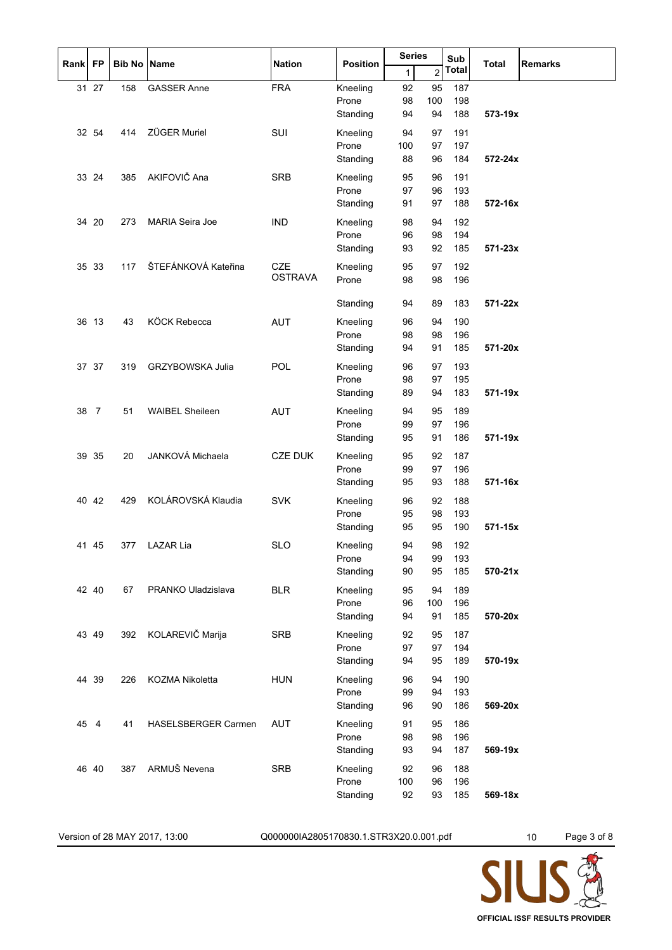| Rank FP |                |     | <b>Bib No Name</b>      | <b>Nation</b>  | <b>Position</b>   | <b>Series</b> |                | Sub          | <b>Total</b> | <b>Remarks</b> |
|---------|----------------|-----|-------------------------|----------------|-------------------|---------------|----------------|--------------|--------------|----------------|
|         |                |     |                         |                |                   | 1             | $\overline{c}$ | <b>Total</b> |              |                |
|         | 31 27          | 158 | <b>GASSER Anne</b>      | <b>FRA</b>     | Kneeling          | 92            | 95             | 187          |              |                |
|         |                |     |                         |                | Prone             | 98            | 100            | 198          |              |                |
|         |                |     |                         |                | Standing          | 94            | 94             | 188          | 573-19x      |                |
|         | 32 54          | 414 | <b>ZÜGER Muriel</b>     | SUI            | Kneeling          | 94            | 97             | 191          |              |                |
|         |                |     |                         |                | Prone             | 100           | 97             | 197          |              |                |
|         |                |     |                         |                | Standing          | 88            | 96             | 184          | 572-24x      |                |
|         | 33 24          | 385 | AKIFOVIČ Ana            | <b>SRB</b>     | Kneeling          | 95            | 96             | 191          |              |                |
|         |                |     |                         |                | Prone             | 97            | 96             | 193          |              |                |
|         |                |     |                         |                | Standing          | 91            | 97             | 188          | 572-16x      |                |
|         | 34 20          | 273 | MARIA Seira Joe         | <b>IND</b>     | Kneeling          | 98            | 94             | 192          |              |                |
|         |                |     |                         |                | Prone             | 96            | 98             | 194          |              |                |
|         |                |     |                         |                | Standing          | 93            | 92             | 185          | 571-23x      |                |
|         | 35 33          | 117 | ŠTEFÁNKOVÁ Kateřina     | <b>CZE</b>     | Kneeling          | 95            | 97             | 192          |              |                |
|         |                |     |                         | <b>OSTRAVA</b> | Prone             | 98            | 98             | 196          |              |                |
|         |                |     |                         |                | Standing          | 94            | 89             | 183          | 571-22x      |                |
|         |                |     |                         |                |                   |               |                |              |              |                |
|         | 36 13          | 43  | KÖCK Rebecca            | <b>AUT</b>     | Kneeling          | 96            | 94             | 190          |              |                |
|         |                |     |                         |                | Prone<br>Standing | 98<br>94      | 98<br>91       | 196<br>185   | 571-20x      |                |
|         |                |     |                         |                |                   |               |                |              |              |                |
|         | 37 37          | 319 | <b>GRZYBOWSKA Julia</b> | <b>POL</b>     | Kneeling          | 96            | 97             | 193          |              |                |
|         |                |     |                         |                | Prone             | 98            | 97             | 195          |              |                |
|         |                |     |                         |                | Standing          | 89            | 94             | 183          | 571-19x      |                |
| 38      | $\overline{7}$ | 51  | <b>WAIBEL Sheileen</b>  | <b>AUT</b>     | Kneeling          | 94            | 95             | 189          |              |                |
|         |                |     |                         |                | Prone             | 99            | 97             | 196          |              |                |
|         |                |     |                         |                | Standing          | 95            | 91             | 186          | 571-19x      |                |
|         | 39 35          | 20  | JANKOVÁ Michaela        | <b>CZE DUK</b> | Kneeling          | 95            | 92             | 187          |              |                |
|         |                |     |                         |                | Prone             | 99            | 97             | 196          |              |                |
|         |                |     |                         |                | Standing          | 95            | 93             | 188          | 571-16x      |                |
|         | 40 42          | 429 | KOLÁROVSKÁ Klaudia      | <b>SVK</b>     | Kneeling          | 96            | 92             | 188          |              |                |
|         |                |     |                         |                | Prone             | 95            | 98             | 193          |              |                |
|         |                |     |                         |                | Standing          | 95            | 95             | 190          | 571-15x      |                |
|         | 41 45          | 377 | LAZAR Lia               | <b>SLO</b>     | Kneeling          | 94            | 98             | 192          |              |                |
|         |                |     |                         |                | Prone             | 94            | 99             | 193          |              |                |
|         |                |     |                         |                | Standing          | 90            | 95             | 185          | 570-21x      |                |
|         | 42 40          | 67  | PRANKO Uladzislava      | <b>BLR</b>     | Kneeling          | 95            | 94             | 189          |              |                |
|         |                |     |                         |                | Prone             | 96            | 100            | 196          |              |                |
|         |                |     |                         |                | Standing          | 94            | 91             | 185          | 570-20x      |                |
|         | 43 49          | 392 | KOLAREVIČ Marija        | SRB            | Kneeling          | 92            | 95             | 187          |              |                |
|         |                |     |                         |                | Prone             | 97            | 97             | 194          |              |                |
|         |                |     |                         |                | Standing          | 94            | 95             | 189          | 570-19x      |                |
|         | 44 39          | 226 | KOZMA Nikoletta         | <b>HUN</b>     | Kneeling          | 96            | 94             | 190          |              |                |
|         |                |     |                         |                | Prone             | 99            | 94             | 193          |              |                |
|         |                |     |                         |                | Standing          | 96            | 90             | 186          | 569-20x      |                |
| 45      | 4              | 41  | HASELSBERGER Carmen     | <b>AUT</b>     | Kneeling          | 91            | 95             | 186          |              |                |
|         |                |     |                         |                | Prone             | 98            | 98             | 196          |              |                |
|         |                |     |                         |                | Standing          | 93            | 94             | 187          | 569-19x      |                |
|         | 46 40          | 387 | ARMUŠ Nevena            | <b>SRB</b>     | Kneeling          | 92            | 96             | 188          |              |                |
|         |                |     |                         |                | Prone             | 100           | 96             | 196          |              |                |
|         |                |     |                         |                | Standing          | 92            | 93             | 185          | 569-18x      |                |

Version of 28 MAY 2017, 13:00 Q000000IA2805170830.1.STR3X20.0.001.pdf 10 Page 3 of 8

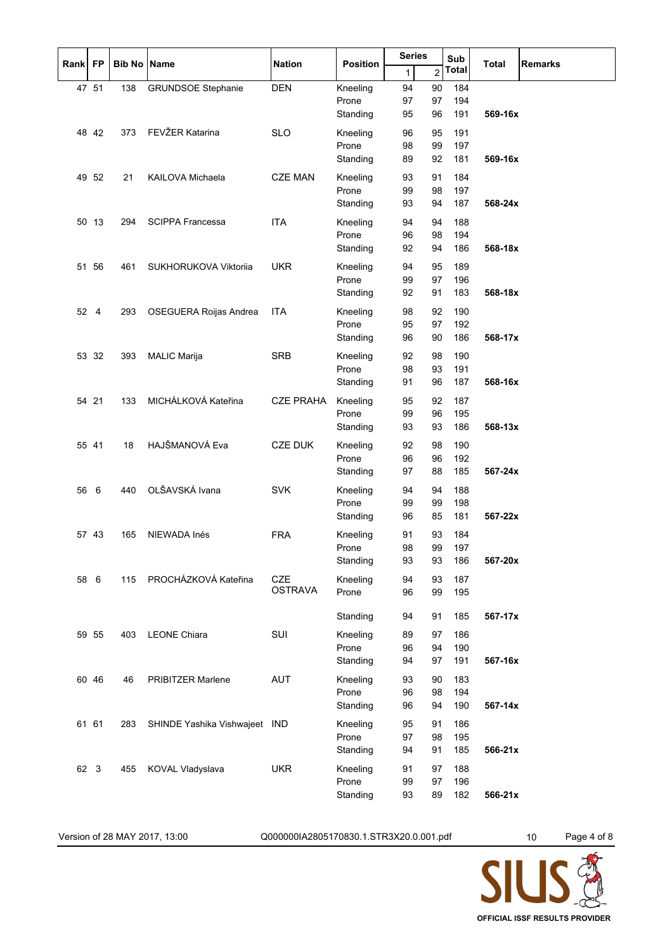| Rank FP |       | <b>Bib No Name</b> |                               | <b>Nation</b>    | <b>Position</b> | <b>Series</b> |                | Sub<br><b>Total</b> |         | <b>Remarks</b> |
|---------|-------|--------------------|-------------------------------|------------------|-----------------|---------------|----------------|---------------------|---------|----------------|
|         |       |                    |                               |                  |                 | $\mathbf{1}$  | $\overline{c}$ | <b>Total</b>        |         |                |
|         | 47 51 | 138                | <b>GRUNDSOE Stephanie</b>     | <b>DEN</b>       | Kneeling        | 94            | 90             | 184                 |         |                |
|         |       |                    |                               |                  | Prone           | 97            | 97             | 194                 |         |                |
|         |       |                    |                               |                  | Standing        | 95            | 96             | 191                 | 569-16x |                |
|         | 48 42 | 373                | FEVŽER Katarina               | <b>SLO</b>       | Kneeling        | 96            | 95             | 191                 |         |                |
|         |       |                    |                               |                  | Prone           | 98            | 99             | 197                 |         |                |
|         |       |                    |                               |                  | Standing        | 89            | 92             | 181                 | 569-16x |                |
|         | 49 52 | 21                 | KAILOVA Michaela              | <b>CZE MAN</b>   | Kneeling        | 93            | 91             | 184                 |         |                |
|         |       |                    |                               |                  | Prone           | 99            | 98             | 197                 |         |                |
|         |       |                    |                               |                  | Standing        | 93            | 94             | 187                 | 568-24x |                |
|         | 50 13 | 294                | <b>SCIPPA Francessa</b>       | <b>ITA</b>       | Kneeling        | 94            | 94             | 188                 |         |                |
|         |       |                    |                               |                  | Prone           | 96            | 98             | 194                 |         |                |
|         |       |                    |                               |                  | Standing        | 92            | 94             | 186                 | 568-18x |                |
|         | 51 56 | 461                | SUKHORUKOVA Viktorija         | <b>UKR</b>       | Kneeling        | 94            | 95             | 189                 |         |                |
|         |       |                    |                               |                  | Prone           | 99            | 97             | 196                 |         |                |
|         |       |                    |                               |                  | Standing        | 92            | 91             | 183                 | 568-18x |                |
|         | 52 4  | 293                | OSEGUERA Roijas Andrea        | <b>ITA</b>       | Kneeling        | 98            | 92             | 190                 |         |                |
|         |       |                    |                               |                  | Prone           | 95            | 97             | 192                 |         |                |
|         |       |                    |                               |                  | Standing        | 96            | 90             | 186                 | 568-17x |                |
|         | 53 32 | 393                | <b>MALIC Marija</b>           | <b>SRB</b>       | Kneeling        | 92            | 98             | 190                 |         |                |
|         |       |                    |                               |                  | Prone           | 98            | 93             | 191                 |         |                |
|         |       |                    |                               |                  | Standing        | 91            | 96             | 187                 | 568-16x |                |
|         | 54 21 | 133                | MICHÁLKOVÁ Kateřina           | <b>CZE PRAHA</b> | Kneeling        | 95            | 92             | 187                 |         |                |
|         |       |                    |                               |                  | Prone           | 99            | 96             | 195                 |         |                |
|         |       |                    |                               |                  | Standing        | 93            | 93             | 186                 | 568-13x |                |
|         | 55 41 | 18                 | HAJŠMANOVÁ Eva                | <b>CZE DUK</b>   | Kneeling        | 92            | 98             | 190                 |         |                |
|         |       |                    |                               |                  | Prone           | 96            | 96             | 192                 |         |                |
|         |       |                    |                               |                  | Standing        | 97            | 88             | 185                 | 567-24x |                |
| 56      | 6     | 440                | OLŠAVSKÁ Ivana                | <b>SVK</b>       | Kneeling        | 94            | 94             | 188                 |         |                |
|         |       |                    |                               |                  | Prone           | 99            | 99             | 198                 |         |                |
|         |       |                    |                               |                  | Standing        | 96            | 85             | 181                 | 567-22x |                |
|         | 57 43 | 165                | NIEWADA Inés                  | <b>FRA</b>       | Kneeling        | 91            | 93             | 184                 |         |                |
|         |       |                    |                               |                  | Prone           | 98            | 99             | 197                 |         |                |
|         |       |                    |                               |                  | Standing        | 93            | 93             | 186                 | 567-20x |                |
| 58      | 6     | 115                | PROCHÁZKOVÁ Kateřina          | <b>CZE</b>       | Kneeling        | 94            | 93             | 187                 |         |                |
|         |       |                    |                               | <b>OSTRAVA</b>   | Prone           | 96            | 99             | 195                 |         |                |
|         |       |                    |                               |                  |                 |               |                |                     |         |                |
|         |       |                    |                               |                  | Standing        | 94            | 91             | 185                 | 567-17x |                |
|         | 59 55 | 403                | <b>LEONE Chiara</b>           | SUI              | Kneeling        | 89            | 97             | 186                 |         |                |
|         |       |                    |                               |                  | Prone           | 96            | 94             | 190                 |         |                |
|         |       |                    |                               |                  | Standing        | 94            | 97             | 191                 | 567-16x |                |
|         | 60 46 | 46                 | <b>PRIBITZER Marlene</b>      | <b>AUT</b>       | Kneeling        | 93            | 90             | 183                 |         |                |
|         |       |                    |                               |                  | Prone           | 96            | 98             | 194                 |         |                |
|         |       |                    |                               |                  | Standing        | 96            | 94             | 190                 | 567-14x |                |
|         | 61 61 | 283                | SHINDE Yashika Vishwajeet IND |                  | Kneeling        | 95            | 91             | 186                 |         |                |
|         |       |                    |                               |                  | Prone           | 97            | 98             | 195                 |         |                |
|         |       |                    |                               |                  | Standing        | 94            | 91             | 185                 | 566-21x |                |
| 62 3    |       | 455                | KOVAL Vladyslava              | <b>UKR</b>       | Kneeling        | 91            | 97             | 188                 |         |                |
|         |       |                    |                               |                  | Prone           | 99            | 97             | 196                 |         |                |
|         |       |                    |                               |                  | Standing        | 93            | 89             | 182                 | 566-21x |                |

Version of 28 MAY 2017, 13:00 Q000000IA2805170830.1.STR3X20.0.001.pdf 10 Page 4 of 8

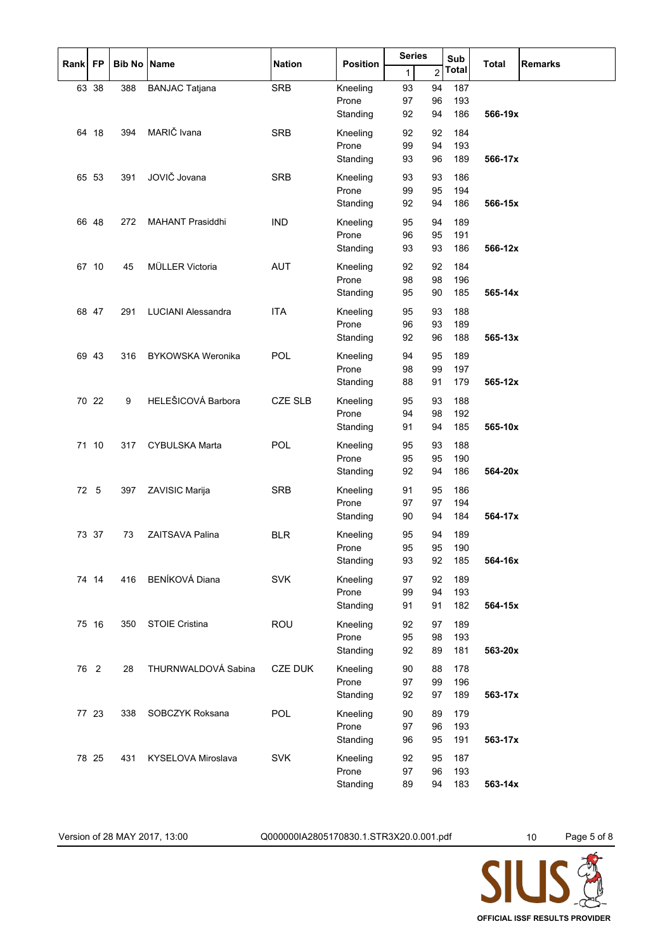| Rank | <b>FP</b> | <b>Bib No Name</b> |                           | <b>Nation</b>  | <b>Position</b>   | <b>Series</b> |          | Sub          | <b>Total</b> | <b>Remarks</b> |
|------|-----------|--------------------|---------------------------|----------------|-------------------|---------------|----------|--------------|--------------|----------------|
|      |           |                    |                           |                |                   | $\mathbf{1}$  | 2        | <b>Total</b> |              |                |
|      | 63 38     | 388                | <b>BANJAC Tatjana</b>     | <b>SRB</b>     | Kneeling          | 93            | 94       | 187          |              |                |
|      |           |                    |                           |                | Prone             | 97            | 96       | 193          | 566-19x      |                |
|      |           |                    |                           |                | Standing          | 92            | 94       | 186          |              |                |
|      | 64 18     | 394                | MARIČ Ivana               | <b>SRB</b>     | Kneeling          | 92            | 92       | 184          |              |                |
|      |           |                    |                           |                | Prone<br>Standing | 99<br>93      | 94<br>96 | 193<br>189   | 566-17x      |                |
|      |           |                    |                           |                |                   |               |          |              |              |                |
|      | 65 53     | 391                | JOVIČ Jovana              | <b>SRB</b>     | Kneeling<br>Prone | 93<br>99      | 93<br>95 | 186<br>194   |              |                |
|      |           |                    |                           |                | Standing          | 92            | 94       | 186          | 566-15x      |                |
|      | 66 48     | 272                | <b>MAHANT Prasiddhi</b>   | <b>IND</b>     | Kneeling          | 95            | 94       | 189          |              |                |
|      |           |                    |                           |                | Prone             | 96            | 95       | 191          |              |                |
|      |           |                    |                           |                | Standing          | 93            | 93       | 186          | 566-12x      |                |
|      | 67 10     | 45                 | MÜLLER Victoria           | <b>AUT</b>     | Kneeling          | 92            | 92       | 184          |              |                |
|      |           |                    |                           |                | Prone             | 98            | 98       | 196          |              |                |
|      |           |                    |                           |                | Standing          | 95            | 90       | 185          | 565-14x      |                |
|      | 68 47     | 291                | <b>LUCIANI Alessandra</b> | <b>ITA</b>     | Kneeling          | 95            | 93       | 188          |              |                |
|      |           |                    |                           |                | Prone             | 96            | 93       | 189          |              |                |
|      |           |                    |                           |                | Standing          | 92            | 96       | 188          | 565-13x      |                |
|      | 69 43     | 316                | <b>BYKOWSKA Weronika</b>  | POL            | Kneeling          | 94            | 95       | 189          |              |                |
|      |           |                    |                           |                | Prone             | 98            | 99       | 197          |              |                |
|      |           |                    |                           |                | Standing          | 88            | 91       | 179          | 565-12x      |                |
|      | 70 22     | 9                  | HELEŠICOVÁ Barbora        | <b>CZE SLB</b> | Kneeling          | 95            | 93       | 188          |              |                |
|      |           |                    |                           |                | Prone             | 94            | 98       | 192          |              |                |
|      |           |                    |                           |                | Standing          | 91            | 94       | 185          | 565-10x      |                |
|      | 71 10     | 317                | <b>CYBULSKA Marta</b>     | POL            | Kneeling          | 95            | 93       | 188          |              |                |
|      |           |                    |                           |                | Prone<br>Standing | 95<br>92      | 95<br>94 | 190<br>186   | 564-20x      |                |
|      |           |                    |                           |                |                   |               |          |              |              |                |
| 72   | 5         | 397                | ZAVISIC Marija            | <b>SRB</b>     | Kneeling<br>Prone | 91<br>97      | 95<br>97 | 186<br>194   |              |                |
|      |           |                    |                           |                | Standing          | 90            | 94       | 184          | 564-17x      |                |
|      | 73 37     | 73                 | <b>ZAITSAVA Palina</b>    | <b>BLR</b>     | Kneeling          | 95            | 94       | 189          |              |                |
|      |           |                    |                           |                | Prone             | 95            | 95       | 190          |              |                |
|      |           |                    |                           |                | Standing          | 93            | 92       | 185          | 564-16x      |                |
|      | 74 14     | 416                | BENÍKOVÁ Diana            | <b>SVK</b>     | Kneeling          | 97            | 92       | 189          |              |                |
|      |           |                    |                           |                | Prone             | 99            | 94       | 193          |              |                |
|      |           |                    |                           |                | Standing          | 91            | 91       | 182          | 564-15x      |                |
|      | 75 16     | 350                | <b>STOIE Cristina</b>     | <b>ROU</b>     | Kneeling          | 92            | 97       | 189          |              |                |
|      |           |                    |                           |                | Prone             | 95            | 98       | 193          |              |                |
|      |           |                    |                           |                | Standing          | 92            | 89       | 181          | 563-20x      |                |
|      | 76 2      | 28                 | THURNWALDOVÁ Sabina       | <b>CZE DUK</b> | Kneeling          | 90            | 88       | 178          |              |                |
|      |           |                    |                           |                | Prone             | 97            | 99       | 196          |              |                |
|      |           |                    |                           |                | Standing          | 92            | 97       | 189          | 563-17x      |                |
|      | 77 23     | 338                | SOBCZYK Roksana           | POL            | Kneeling          | 90            | 89       | 179          |              |                |
|      |           |                    |                           |                | Prone<br>Standing | 97<br>96      | 96<br>95 | 193<br>191   | 563-17x      |                |
|      |           |                    |                           |                |                   |               |          |              |              |                |
|      | 78 25     | 431                | KYSELOVA Miroslava        | <b>SVK</b>     | Kneeling<br>Prone | 92<br>97      | 95<br>96 | 187<br>193   |              |                |
|      |           |                    |                           |                | Standing          | 89            | 94       | 183          | 563-14x      |                |
|      |           |                    |                           |                |                   |               |          |              |              |                |

Version of 28 MAY 2017, 13:00 Q000000IA2805170830.1.STR3X20.0.001.pdf 10 Page 5 of 8

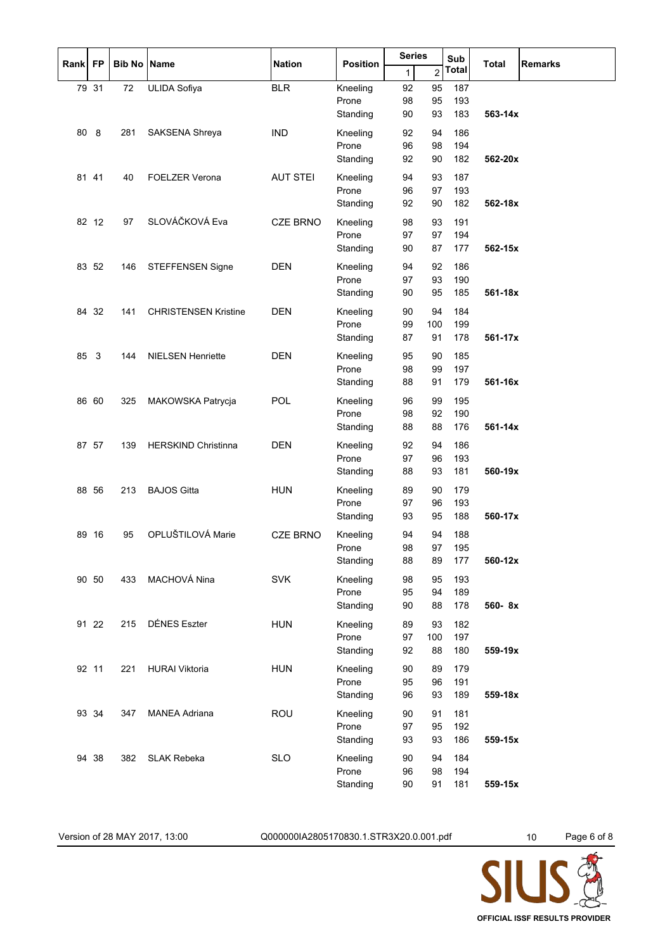| Rank | <b>FP</b>    | <b>Bib No Name</b> |                             | <b>Nation</b>   | <b>Position</b>   | <b>Series</b> |          | Sub          | <b>Total</b> | <b>Remarks</b> |
|------|--------------|--------------------|-----------------------------|-----------------|-------------------|---------------|----------|--------------|--------------|----------------|
|      |              |                    |                             |                 |                   | $\mathbf{1}$  | 2        | <b>Total</b> |              |                |
|      | 79 31        | $72\,$             | <b>ULIDA Sofiya</b>         | $BLR$           | Kneeling<br>Prone | 92<br>98      | 95<br>95 | 187<br>193   |              |                |
|      |              |                    |                             |                 | Standing          | 90            | 93       | 183          | 563-14x      |                |
| 80   | 8            | 281                | SAKSENA Shreya              | <b>IND</b>      | Kneeling          | 92            | 94       | 186          |              |                |
|      |              |                    |                             |                 | Prone<br>Standing | 96<br>92      | 98<br>90 | 194<br>182   | 562-20x      |                |
|      | 81 41        | 40                 | <b>FOELZER Verona</b>       | <b>AUT STEI</b> | Kneeling          | 94            | 93       | 187          |              |                |
|      |              |                    |                             |                 | Prone<br>Standing | 96<br>92      | 97<br>90 | 193<br>182   | 562-18x      |                |
|      | 82 12        | 97                 | SLOVÁČKOVÁ Eva              | <b>CZE BRNO</b> | Kneeling          | 98            | 93       | 191          |              |                |
|      |              |                    |                             |                 | Prone             | 97            | 97       | 194          |              |                |
|      | 83 52        |                    |                             | <b>DEN</b>      | Standing          | 90<br>94      | 87<br>92 | 177<br>186   | 562-15x      |                |
|      |              | 146                | STEFFENSEN Signe            |                 | Kneeling<br>Prone | 97            | 93       | 190          |              |                |
|      |              |                    |                             |                 | Standing          | 90            | 95       | 185          | 561-18x      |                |
|      | 84 32        | 141                | <b>CHRISTENSEN Kristine</b> | <b>DEN</b>      | Kneeling          | 90            | 94       | 184          |              |                |
|      |              |                    |                             |                 | Prone             | 99            | 100      | 199          |              |                |
|      |              |                    |                             |                 | Standing          | 87            | 91       | 178          | 561-17x      |                |
| 85   | $\mathbf{3}$ | 144                | <b>NIELSEN Henriette</b>    | <b>DEN</b>      | Kneeling<br>Prone | 95            | 90       | 185          |              |                |
|      |              |                    |                             |                 | Standing          | 98<br>88      | 99<br>91 | 197<br>179   | 561-16x      |                |
|      | 86 60        | 325                | MAKOWSKA Patrycja           | POL             | Kneeling          | 96            | 99       | 195          |              |                |
|      |              |                    |                             |                 | Prone             | 98            | 92       | 190          |              |                |
|      |              |                    |                             |                 | Standing          | 88            | 88       | 176          | 561-14x      |                |
|      | 87 57        | 139                | <b>HERSKIND Christinna</b>  | <b>DEN</b>      | Kneeling<br>Prone | 92<br>97      | 94<br>96 | 186<br>193   |              |                |
|      |              |                    |                             |                 | Standing          | 88            | 93       | 181          | 560-19x      |                |
|      | 88 56        | 213                | <b>BAJOS Gitta</b>          | <b>HUN</b>      | Kneeling          | 89            | 90       | 179          |              |                |
|      |              |                    |                             |                 | Prone             | 97            | 96       | 193          |              |                |
|      | 89 16        | 95                 | OPLUŠTILOVÁ Marie           |                 | Standing          | 93            | 95       | 188          | 560-17x      |                |
|      |              |                    |                             | <b>CZE BRNO</b> | Kneeling<br>Prone | 94<br>98      | 94<br>97 | 188<br>195   |              |                |
|      |              |                    |                             |                 | Standing          | 88            | 89       | 177          | 560-12x      |                |
|      | 90 50        | 433                | MACHOVÁ Nina                | <b>SVK</b>      | Kneeling          | 98            | 95       | 193          |              |                |
|      |              |                    |                             |                 | Prone<br>Standing | 95<br>90      | 94<br>88 | 189<br>178   | 560-8x       |                |
|      | 91 22        | 215                | <b>DÉNES Eszter</b>         | <b>HUN</b>      | Kneeling          | 89            | 93       | 182          |              |                |
|      |              |                    |                             |                 | Prone             | 97            | 100      | 197          |              |                |
|      |              |                    |                             |                 | Standing          | 92            | 88       | 180          | 559-19x      |                |
|      | 92 11        | 221                | <b>HURAI Viktoria</b>       | <b>HUN</b>      | Kneeling          | 90            | 89       | 179          |              |                |
|      |              |                    |                             |                 | Prone<br>Standing | 95<br>96      | 96<br>93 | 191<br>189   | 559-18x      |                |
|      | 93 34        | 347                | <b>MANEA Adriana</b>        | <b>ROU</b>      | Kneeling          | 90            | 91       | 181          |              |                |
|      |              |                    |                             |                 | Prone             | 97            | 95       | 192          |              |                |
|      |              |                    |                             |                 | Standing          | 93            | 93       | 186          | 559-15x      |                |
|      | 94 38        | 382                | <b>SLAK Rebeka</b>          | <b>SLO</b>      | Kneeling          | 90            | 94       | 184          |              |                |
|      |              |                    |                             |                 | Prone<br>Standing | 96<br>90      | 98<br>91 | 194<br>181   | 559-15x      |                |
|      |              |                    |                             |                 |                   |               |          |              |              |                |

Version of 28 MAY 2017, 13:00 Q000000IA2805170830.1.STR3X20.0.001.pdf 10 Page 6 of 8

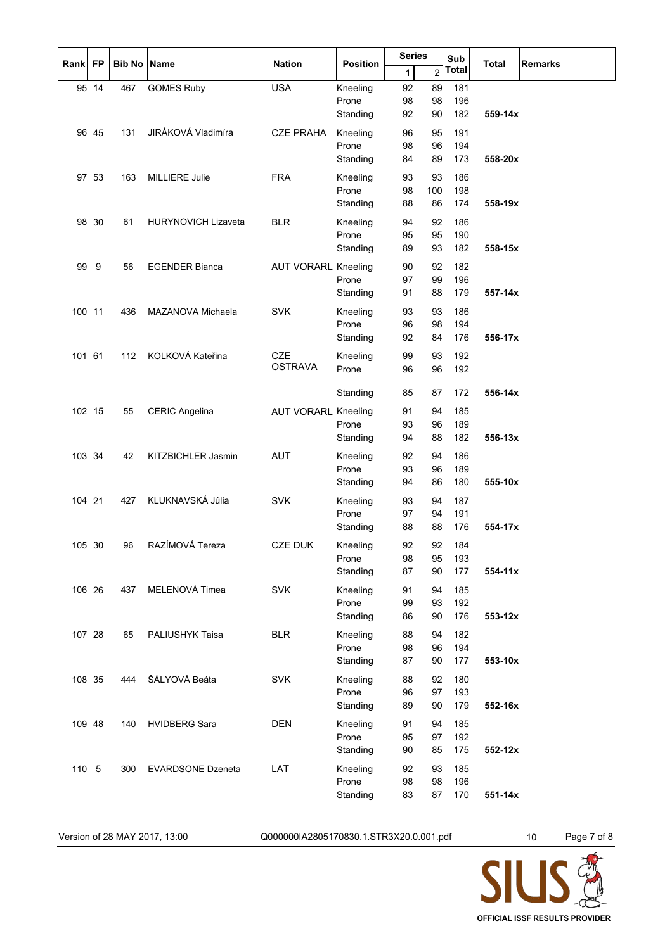| Rank   | <b>FP</b> | <b>Bib No Name</b> |                            | <b>Nation</b>              | <b>Position</b> | <b>Series</b> |     | Sub<br><b>Total</b> |           | <b>Remarks</b> |
|--------|-----------|--------------------|----------------------------|----------------------------|-----------------|---------------|-----|---------------------|-----------|----------------|
|        |           |                    |                            |                            |                 | 1             | 2   | <b>Total</b>        |           |                |
|        | 95 14     | 467                | <b>GOMES Ruby</b>          | <b>USA</b>                 | Kneeling        | 92            | 89  | 181                 |           |                |
|        |           |                    |                            |                            | Prone           | 98            | 98  | 196                 |           |                |
|        |           |                    |                            |                            | Standing        | 92            | 90  | 182                 | 559-14x   |                |
|        | 96 45     | 131                | JIRÁKOVÁ Vladimíra         | <b>CZE PRAHA</b>           | Kneeling        | 96            | 95  | 191                 |           |                |
|        |           |                    |                            |                            | Prone           | 98            | 96  | 194                 |           |                |
|        |           |                    |                            |                            | Standing        | 84            | 89  | 173                 | 558-20x   |                |
|        | 97 53     | 163                | <b>MILLIERE Julie</b>      | <b>FRA</b>                 | Kneeling        | 93            | 93  | 186                 |           |                |
|        |           |                    |                            |                            | Prone           | 98            | 100 | 198                 |           |                |
|        |           |                    |                            |                            | Standing        | 88            | 86  | 174                 | 558-19x   |                |
|        | 98 30     | 61                 | <b>HURYNOVICH Lizaveta</b> | <b>BLR</b>                 | Kneeling        | 94            | 92  | 186                 |           |                |
|        |           |                    |                            |                            | Prone           | 95            | 95  | 190                 |           |                |
|        |           |                    |                            |                            | Standing        | 89            | 93  | 182                 | 558-15x   |                |
| 99     | 9         | 56                 | <b>EGENDER Bianca</b>      | <b>AUT VORARL Kneeling</b> |                 | 90            | 92  | 182                 |           |                |
|        |           |                    |                            |                            | Prone           | 97            | 99  | 196                 |           |                |
|        |           |                    |                            |                            | Standing        | 91            | 88  | 179                 | 557-14x   |                |
| 100 11 |           | 436                | MAZANOVA Michaela          | <b>SVK</b>                 | Kneeling        | 93            | 93  | 186                 |           |                |
|        |           |                    |                            |                            | Prone           | 96            | 98  | 194                 |           |                |
|        |           |                    |                            |                            | Standing        | 92            | 84  | 176                 | 556-17x   |                |
| 101 61 |           | 112                | KOLKOVÁ Kateřina           | <b>CZE</b>                 | Kneeling        | 99            | 93  | 192                 |           |                |
|        |           |                    |                            | <b>OSTRAVA</b>             | Prone           | 96            | 96  | 192                 |           |                |
|        |           |                    |                            |                            |                 | 85            | 87  | 172                 | 556-14x   |                |
|        |           |                    |                            |                            | Standing        |               |     |                     |           |                |
| 102 15 |           | 55                 | <b>CERIC Angelina</b>      | <b>AUT VORARL Kneeling</b> |                 | 91            | 94  | 185                 |           |                |
|        |           |                    |                            |                            | Prone           | 93            | 96  | 189                 |           |                |
|        |           |                    |                            |                            | Standing        | 94            | 88  | 182                 | $556-13x$ |                |
| 103 34 |           | 42                 | KITZBICHLER Jasmin         | <b>AUT</b>                 | Kneeling        | 92            | 94  | 186                 |           |                |
|        |           |                    |                            |                            | Prone           | 93            | 96  | 189                 |           |                |
|        |           |                    |                            |                            | Standing        | 94            | 86  | 180                 | 555-10x   |                |
| 104 21 |           | 427                | KLUKNAVSKÁ Júlia           | <b>SVK</b>                 | Kneeling        | 93            | 94  | 187                 |           |                |
|        |           |                    |                            |                            | Prone           | 97            | 94  | 191                 |           |                |
|        |           |                    |                            |                            | Standing        | 88            | 88  | 176                 | 554-17x   |                |
| 105 30 |           | 96                 | RAZÍMOVÁ Tereza            | <b>CZE DUK</b>             | Kneeling        | 92            | 92  | 184                 |           |                |
|        |           |                    |                            |                            | Prone           | 98            | 95  | 193                 |           |                |
|        |           |                    |                            |                            | Standing        | 87            | 90  | 177                 | 554-11x   |                |
| 106 26 |           | 437                | MELENOVÁ Timea             | <b>SVK</b>                 | Kneeling        | 91            | 94  | 185                 |           |                |
|        |           |                    |                            |                            | Prone           | 99            | 93  | 192                 |           |                |
|        |           |                    |                            |                            | Standing        | 86            | 90  | 176                 | 553-12x   |                |
| 107 28 |           | 65                 | <b>PALIUSHYK Taisa</b>     | <b>BLR</b>                 | Kneeling        | 88            | 94  | 182                 |           |                |
|        |           |                    |                            |                            | Prone           | 98            | 96  | 194                 |           |                |
|        |           |                    |                            |                            | Standing        | 87            | 90  | 177                 | 553-10x   |                |
| 108 35 |           | 444                | ŠÁLYOVÁ Beáta              | <b>SVK</b>                 | Kneeling        | 88            | 92  | 180                 |           |                |
|        |           |                    |                            |                            | Prone           | 96            | 97  | 193                 |           |                |
|        |           |                    |                            |                            | Standing        | 89            | 90  | 179                 | 552-16x   |                |
| 109 48 |           | 140                | <b>HVIDBERG Sara</b>       | <b>DEN</b>                 | Kneeling        | 91            | 94  | 185                 |           |                |
|        |           |                    |                            |                            | Prone           | 95            | 97  | 192                 |           |                |
|        |           |                    |                            |                            | Standing        | 90            | 85  | 175                 | 552-12x   |                |
| 110 5  |           | 300                | <b>EVARDSONE Dzeneta</b>   | LAT                        | Kneeling        | 92            | 93  | 185                 |           |                |
|        |           |                    |                            |                            | Prone           | 98            | 98  | 196                 |           |                |
|        |           |                    |                            |                            | Standing        | 83            | 87  | 170                 | 551-14x   |                |

Version of 28 MAY 2017, 13:00 Q000000IA2805170830.1.STR3X20.0.001.pdf 10 Page 7 of 8